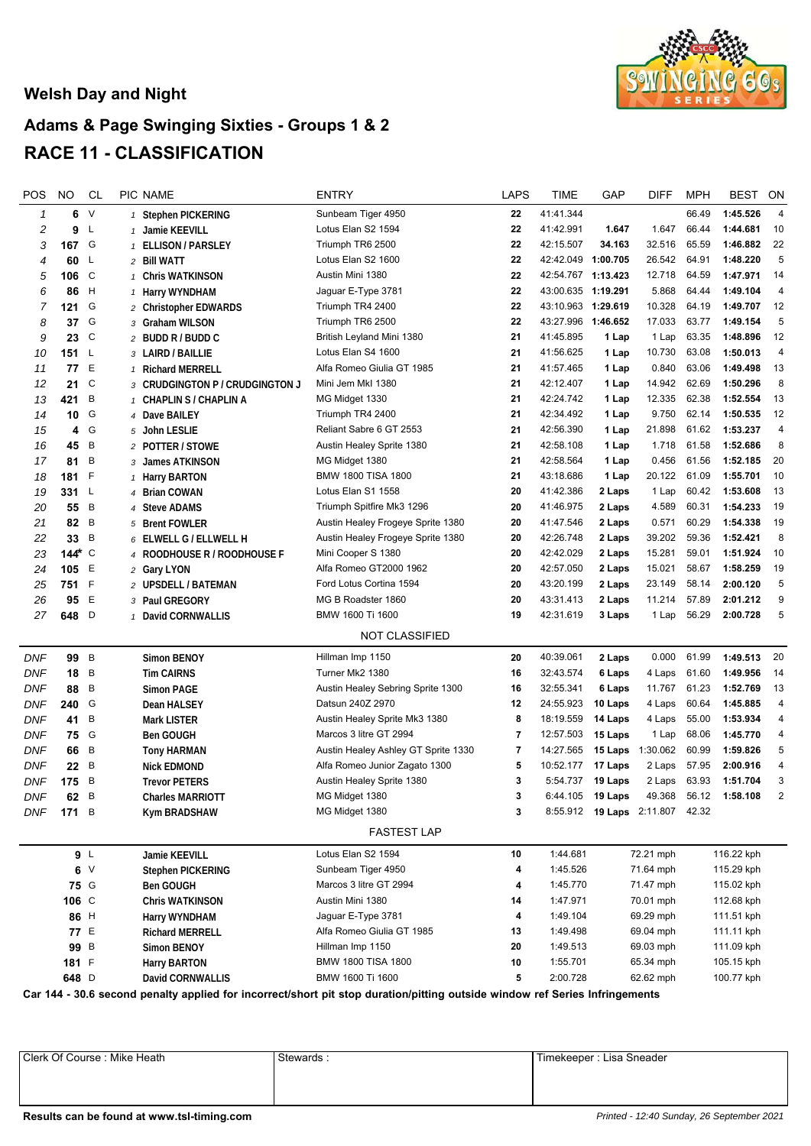## **Welsh Day and Night**



## **Adams & Page Swinging Sixties - Groups 1 & 2 RACE 11 - CLASSIFICATION**

| POS                   | <b>NO</b>       | CL  | PIC NAME                        | <b>ENTRY</b>                        | <b>LAPS</b>    | <b>TIME</b>        | GAP     | <b>DIFF</b>                     | <b>MPH</b> | BEST       | ON                      |
|-----------------------|-----------------|-----|---------------------------------|-------------------------------------|----------------|--------------------|---------|---------------------------------|------------|------------|-------------------------|
| $\mathbf{1}$          | 6               | V   | 1 Stephen PICKERING             | Sunbeam Tiger 4950                  | 22             | 41:41.344          |         |                                 | 66.49      | 1:45.526   | $\overline{4}$          |
| 2                     | 9               | -L  | 1 Jamie KEEVILL                 | Lotus Elan S2 1594                  | 22             | 41:42.991          | 1.647   | 1.647                           | 66.44      | 1:44.681   | 10                      |
| 3                     | 167 G           |     | 1 ELLISON / PARSLEY             | Triumph TR6 2500                    | 22             | 42:15.507          | 34.163  | 32.516                          | 65.59      | 1:46.882   | 22                      |
| 4                     | 60              | -L  | 2 Bill WATT                     | Lotus Elan S2 1600                  | 22             | 42:42.049 1:00.705 |         | 26.542                          | 64.91      | 1:48.220   | 5                       |
| 5                     | 106 $C$         |     | 1 Chris WATKINSON               | Austin Mini 1380                    | 22             | 42:54.767 1:13.423 |         | 12.718                          | 64.59      | 1:47.971   | 14                      |
| 6                     | 86              | - H | 1 Harry WYNDHAM                 | Jaguar E-Type 3781                  | 22             | 43:00.635 1:19.291 |         | 5.868                           | 64.44      | 1:49.104   | 4                       |
| 7                     | 121             | G   | 2 Christopher EDWARDS           | Triumph TR4 2400                    | 22             | 43:10.963 1:29.619 |         | 10.328                          | 64.19      | 1:49.707   | 12                      |
| 8                     | 37 <sub>6</sub> |     | 3 Graham WILSON                 | Triumph TR6 2500                    | 22             | 43:27.996 1:46.652 |         | 17.033                          | 63.77      | 1:49.154   | 5                       |
| 9                     | 23 C            |     | 2 BUDD R / BUDD C               | British Leyland Mini 1380           | 21             | 41:45.895          | 1 Lap   | 1 Lap                           | 63.35      | 1:48.896   | 12                      |
| 10                    | 151 $L$         |     | 3 LAIRD / BAILLIE               | Lotus Elan S4 1600                  | 21             | 41:56.625          | 1 Lap   | 10.730                          | 63.08      | 1:50.013   | $\overline{\mathbf{4}}$ |
| 11                    | 77              | E   | 1 Richard MERRELL               | Alfa Romeo Giulia GT 1985           | 21             | 41:57.465          | 1 Lap   | 0.840                           | 63.06      | 1:49.498   | 13                      |
| 12                    | 21              | C   | 3 CRUDGINGTON P / CRUDGINGTON J | Mini Jem Mkl 1380                   | 21             | 42:12.407          | 1 Lap   | 14.942                          | 62.69      | 1:50.296   | 8                       |
| 13                    | 421             | B   | 1 CHAPLIN S / CHAPLIN A         | MG Midget 1330                      | 21             | 42:24.742          | 1 Lap   | 12.335                          | 62.38      | 1:52.554   | 13                      |
| 14                    | 10 G            |     | 4 Dave BAILEY                   | Triumph TR4 2400                    | 21             | 42:34.492          | 1 Lap   | 9.750                           | 62.14      | 1:50.535   | 12                      |
| 15                    | 4               | G   | 5 John LESLIE                   | Reliant Sabre 6 GT 2553             | 21             | 42:56.390          | 1 Lap   | 21.898                          | 61.62      | 1:53.237   | 4                       |
| 16                    | 45              | B   | 2 POTTER / STOWE                | Austin Healey Sprite 1380           | 21             | 42:58.108          | 1 Lap   | 1.718                           | 61.58      | 1:52.686   | 8                       |
| 17                    | 81 B            |     | 3 James ATKINSON                | MG Midget 1380                      | 21             | 42:58.564          | 1 Lap   | 0.456                           | 61.56      | 1:52.185   | 20                      |
| 18                    | 181 F           |     | 1 Harry BARTON                  | BMW 1800 TISA 1800                  | 21             | 43:18.686          | 1 Lap   | 20.122                          | 61.09      | 1:55.701   | 10                      |
| 19                    | $331 \quad L$   |     | 4 Brian COWAN                   | Lotus Elan S1 1558                  | 20             | 41:42.386          | 2 Laps  | 1 Lap                           | 60.42      | 1:53.608   | 13                      |
| 20                    | 55 B            |     | 4 Steve ADAMS                   | Triumph Spitfire Mk3 1296           | 20             | 41:46.975          | 2 Laps  | 4.589                           | 60.31      | 1:54.233   | 19                      |
| 21                    | 82 B            |     | 5 Brent FOWLER                  | Austin Healey Frogeye Sprite 1380   | 20             | 41:47.546          | 2 Laps  | 0.571                           | 60.29      | 1:54.338   | 19                      |
| 22                    | 33 B            |     | 6 ELWELL G / ELLWELL H          | Austin Healey Frogeye Sprite 1380   | 20             | 42:26.748          | 2 Laps  | 39.202                          | 59.36      | 1:52.421   | 8                       |
| 23                    | 144 $\star$ C   |     | 4 ROODHOUSE R / ROODHOUSE F     | Mini Cooper S 1380                  | 20             | 42:42.029          | 2 Laps  | 15.281                          | 59.01      | 1:51.924   | 10                      |
| 24                    | 105 E           |     | 2 Gary LYON                     | Alfa Romeo GT2000 1962              | 20             | 42:57.050          | 2 Laps  | 15.021                          | 58.67      | 1:58.259   | 19                      |
| 25                    | 751 F           |     | 2 UPSDELL / BATEMAN             | Ford Lotus Cortina 1594             | 20             | 43:20.199          | 2 Laps  | 23.149                          | 58.14      | 2:00.120   | 5                       |
| 26                    | 95              | E   | 3 Paul GREGORY                  | MG B Roadster 1860                  | 20             | 43:31.413          | 2 Laps  | 11.214                          | 57.89      | 2:01.212   | 9                       |
| 27                    | 648 D           |     | 1 David CORNWALLIS              | BMW 1600 Ti 1600                    | 19             | 42:31.619          | 3 Laps  | 1 Lap                           | 56.29      | 2:00.728   | 5                       |
| <b>NOT CLASSIFIED</b> |                 |     |                                 |                                     |                |                    |         |                                 |            |            |                         |
|                       |                 |     |                                 |                                     |                |                    |         |                                 |            |            |                         |
| DNF                   | 99 B            |     | Simon BENOY                     | Hillman Imp 1150                    | 20             | 40:39.061          | 2 Laps  | 0.000                           | 61.99      | 1:49.513   | 20                      |
| DNF                   | 18 B            |     | <b>Tim CAIRNS</b>               | Turner Mk2 1380                     | 16             | 32:43.574          | 6 Laps  | 4 Laps                          | 61.60      | 1:49.956   | 14                      |
| DNF                   | 88 B            |     | <b>Simon PAGE</b>               | Austin Healey Sebring Sprite 1300   | 16             | 32:55.341          | 6 Laps  | 11.767                          | 61.23      | 1:52.769   | 13                      |
| DNF                   | 240 G           |     | Dean HALSEY                     | Datsun 240Z 2970                    | 12             | 24:55.923          | 10 Laps | 4 Laps                          | 60.64      | 1:45.885   | 4                       |
| DNF                   | 41 B            |     | <b>Mark LISTER</b>              | Austin Healey Sprite Mk3 1380       | 8              | 18:19.559          | 14 Laps | 4 Laps                          | 55.00      | 1:53.934   | 4                       |
| DNF                   | 75 G            |     | <b>Ben GOUGH</b>                | Marcos 3 litre GT 2994              | $\overline{7}$ | 12:57.503          | 15 Laps | 1 Lap                           | 68.06      | 1:45.770   | 4                       |
| DNF                   | 66 B            |     | <b>Tony HARMAN</b>              | Austin Healey Ashley GT Sprite 1330 | 7              | 14:27.565          | 15 Laps | 1:30.062                        | 60.99      | 1:59.826   | 5                       |
| DNF                   | 22 B            |     | <b>Nick EDMOND</b>              | Alfa Romeo Junior Zagato 1300       | 5              | 10:52.177          | 17 Laps | 2 Laps                          | 57.95      | 2:00.916   | 4                       |
| DNF                   | 175             | B   | <b>Trevor PETERS</b>            | Austin Healey Sprite 1380           | 3              | 5:54.737           | 19 Laps | 2 Laps                          | 63.93      | 1:51.704   | 3                       |
| <b>DNF</b>            | 62              | B   | <b>Charles MARRIOTT</b>         | MG Midget 1380                      | 3              | 6:44.105           | 19 Laps | 49.368                          | 56.12      | 1:58.108   | $\overline{2}$          |
| <b>DNF</b>            | 171 $B$         |     | Kym BRADSHAW                    | MG Midget 1380                      | 3              |                    |         | 8:55.912 19 Laps 2:11.807 42.32 |            |            |                         |
|                       |                 |     |                                 | <b>FASTEST LAP</b>                  |                |                    |         |                                 |            |            |                         |
|                       | 9 <sub>1</sub>  |     | Jamie KEEVILL                   | Lotus Elan S2 1594                  | 10             | 1:44.681           |         | 72.21 mph                       |            | 116.22 kph |                         |
|                       |                 | 6V  | <b>Stephen PICKERING</b>        | Sunbeam Tiger 4950                  | 4              | 1:45.526           |         | 71.64 mph                       |            | 115.29 kph |                         |
|                       | 75 G            |     | Ben GOUGH                       | Marcos 3 litre GT 2994              | 4              | 1:45.770           |         | 71.47 mph                       |            | 115.02 kph |                         |
|                       | 106 C           |     | <b>Chris WATKINSON</b>          | Austin Mini 1380                    | 14             | 1:47.971           |         | 70.01 mph                       |            | 112.68 kph |                         |
|                       | 86 H            |     | Harry WYNDHAM                   | Jaguar E-Type 3781                  | 4              | 1:49.104           |         | 69.29 mph                       |            | 111.51 kph |                         |
|                       | 77 E            |     | <b>Richard MERRELL</b>          | Alfa Romeo Giulia GT 1985           | 13             | 1:49.498           |         | 69.04 mph                       |            | 111.11 kph |                         |
|                       | 99 B            |     | Simon BENOY                     | Hillman Imp 1150                    | 20             | 1:49.513           |         | 69.03 mph                       |            | 111.09 kph |                         |
|                       | 181 F           |     | <b>Harry BARTON</b>             | BMW 1800 TISA 1800                  | 10             | 1:55.701           |         | 65.34 mph                       |            | 105.15 kph |                         |
|                       | 648 D           |     | David CORNWALLIS                | BMW 1600 Ti 1600                    | 5              | 2:00.728           |         | 62.62 mph                       |            | 100.77 kph |                         |
|                       |                 |     |                                 |                                     |                |                    |         |                                 |            |            |                         |

**Car 144 - 30.6 second penalty applied for incorrect/short pit stop duration/pitting outside window ref Series Infringements**

Timekeeper : Lisa Sneader | Stewards : Nike Heath Stewards : Stewards : Timekeeper : Lisa Sneader